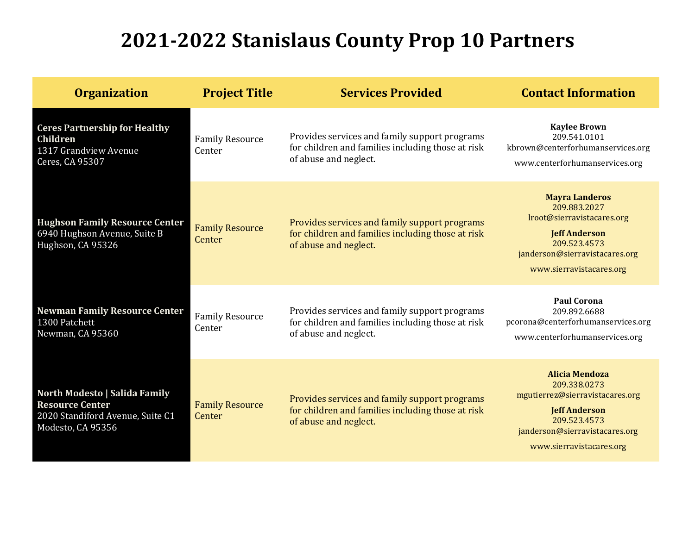## **2021-2022 Stanislaus County Prop 10 Partners**

| <b>Organization</b>                                                                                              | <b>Project Title</b>             | <b>Services Provided</b>                                                                                                    | <b>Contact Information</b>                                                                                                                                                     |
|------------------------------------------------------------------------------------------------------------------|----------------------------------|-----------------------------------------------------------------------------------------------------------------------------|--------------------------------------------------------------------------------------------------------------------------------------------------------------------------------|
| <b>Ceres Partnership for Healthy</b><br><b>Children</b><br>1317 Grandview Avenue<br>Ceres, CA 95307              | <b>Family Resource</b><br>Center | Provides services and family support programs<br>for children and families including those at risk<br>of abuse and neglect. | <b>Kaylee Brown</b><br>209.541.0101<br>kbrown@centerforhumanservices.org<br>www.centerforhumanservices.org                                                                     |
| <b>Hughson Family Resource Center</b><br>6940 Hughson Avenue, Suite B<br>Hughson, CA 95326                       | <b>Family Resource</b><br>Center | Provides services and family support programs<br>for children and families including those at risk<br>of abuse and neglect. | <b>Mayra Landeros</b><br>209.883.2027<br>lroot@sierravistacares.org<br><b>Jeff Anderson</b><br>209.523.4573<br>janderson@sierravistacares.org<br>www.sierravistacares.org      |
| <b>Newman Family Resource Center</b><br>1300 Patchett<br>Newman, CA 95360                                        | <b>Family Resource</b><br>Center | Provides services and family support programs<br>for children and families including those at risk<br>of abuse and neglect. | <b>Paul Corona</b><br>209.892.6688<br>pcorona@centerforhumanservices.org<br>www.centerforhumanservices.org                                                                     |
| North Modesto   Salida Family<br><b>Resource Center</b><br>2020 Standiford Avenue, Suite C1<br>Modesto, CA 95356 | <b>Family Resource</b><br>Center | Provides services and family support programs<br>for children and families including those at risk<br>of abuse and neglect. | <b>Alicia Mendoza</b><br>209.338.0273<br>mgutierrez@sierravistacares.org<br><b>Jeff Anderson</b><br>209.523.4573<br>janderson@sierravistacares.org<br>www.sierravistacares.org |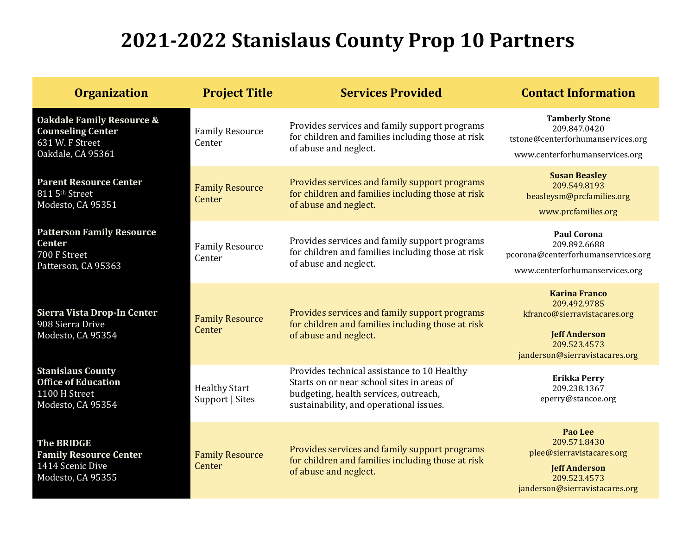## **2021-2022 Stanislaus County Prop 10 Partners**

| <b>Organization</b>                                                                                      | <b>Project Title</b>                    | <b>Services Provided</b>                                                                                                                                                      | <b>Contact Information</b>                                                                                                                     |
|----------------------------------------------------------------------------------------------------------|-----------------------------------------|-------------------------------------------------------------------------------------------------------------------------------------------------------------------------------|------------------------------------------------------------------------------------------------------------------------------------------------|
| <b>Oakdale Family Resource &amp;</b><br><b>Counseling Center</b><br>631 W. F Street<br>Oakdale, CA 95361 | <b>Family Resource</b><br>Center        | Provides services and family support programs<br>for children and families including those at risk<br>of abuse and neglect.                                                   | <b>Tamberly Stone</b><br>209.847.0420<br>tstone@centerforhumanservices.org<br>www.centerforhumanservices.org                                   |
| <b>Parent Resource Center</b><br>811 5th Street<br>Modesto, CA 95351                                     | <b>Family Resource</b><br>Center        | Provides services and family support programs<br>for children and families including those at risk<br>of abuse and neglect.                                                   | <b>Susan Beasley</b><br>209.549.8193<br>beasleysm@prcfamilies.org<br>www.prcfamilies.org                                                       |
| <b>Patterson Family Resource</b><br>Center<br>700 F Street<br>Patterson, CA 95363                        | <b>Family Resource</b><br>Center        | Provides services and family support programs<br>for children and families including those at risk<br>of abuse and neglect.                                                   | <b>Paul Corona</b><br>209.892.6688<br>pcorona@centerforhumanservices.org<br>www.centerforhumanservices.org                                     |
| Sierra Vista Drop-In Center<br>908 Sierra Drive<br>Modesto, CA 95354                                     | <b>Family Resource</b><br>Center        | Provides services and family support programs<br>for children and families including those at risk<br>of abuse and neglect.                                                   | <b>Karina Franco</b><br>209.492.9785<br>kfranco@sierravistacares.org<br><b>Jeff Anderson</b><br>209.523.4573<br>janderson@sierravistacares.org |
| <b>Stanislaus County</b><br><b>Office of Education</b><br>1100 H Street<br>Modesto, CA 95354             | <b>Healthy Start</b><br>Support   Sites | Provides technical assistance to 10 Healthy<br>Starts on or near school sites in areas of<br>budgeting, health services, outreach,<br>sustainability, and operational issues. | <b>Erikka Perry</b><br>209.238.1367<br>eperry@stancoe.org                                                                                      |
| <b>The BRIDGE</b><br><b>Family Resource Center</b><br>1414 Scenic Dive<br>Modesto, CA 95355              | <b>Family Resource</b><br>Center        | Provides services and family support programs<br>for children and families including those at risk<br>of abuse and neglect.                                                   | Pao Lee<br>209.571.8430<br>plee@sierravistacares.org<br><b>Jeff Anderson</b><br>209.523.4573<br>janderson@sierravistacares.org                 |